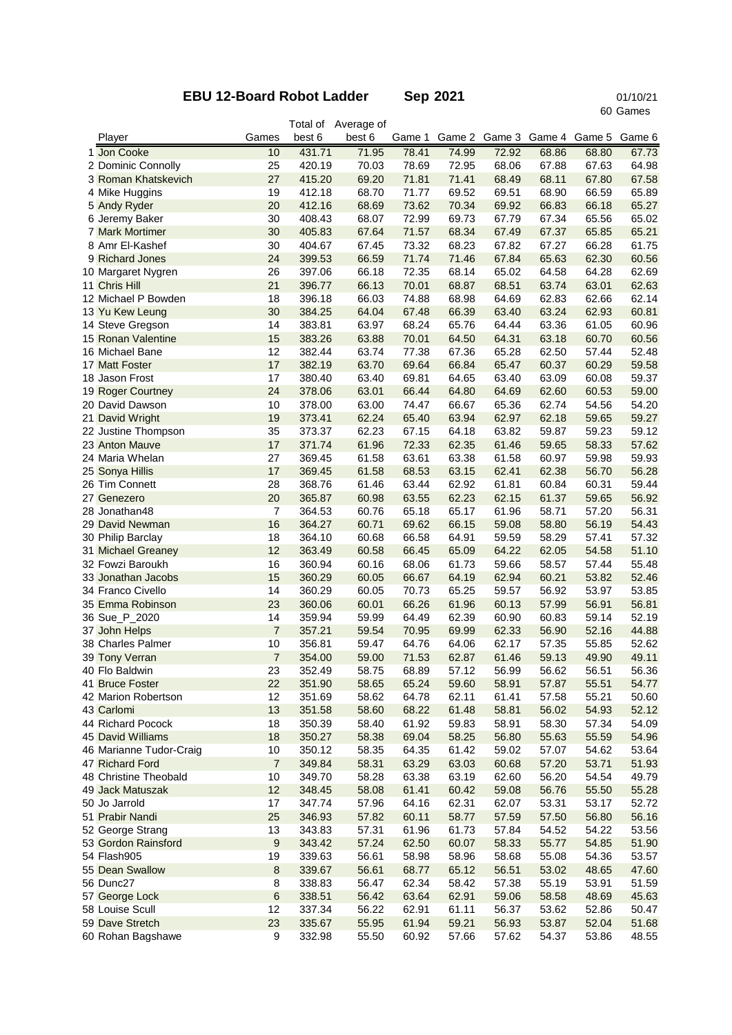## **EBU 12-Board Robot Ladder Sep 2021**

 Games 01/10/21

|                                        |                |                  | Total of Average of |                |                |                |                |                                    |                |
|----------------------------------------|----------------|------------------|---------------------|----------------|----------------|----------------|----------------|------------------------------------|----------------|
| Player                                 | Games          | best 6           | best 6              | Game 1         |                |                |                | Game 2 Game 3 Game 4 Game 5 Game 6 |                |
| 1 Jon Cooke                            | 10             | 431.71           | 71.95               | 78.41          | 74.99          | 72.92          | 68.86          | 68.80                              | 67.73          |
| 2 Dominic Connolly                     | 25             | 420.19           | 70.03               | 78.69          | 72.95          | 68.06          | 67.88          | 67.63                              | 64.98          |
| 3 Roman Khatskevich                    | 27             | 415.20           | 69.20               | 71.81          | 71.41          | 68.49          | 68.11          | 67.80                              | 67.58          |
| 4 Mike Huggins                         | 19             | 412.18           | 68.70               | 71.77          | 69.52          | 69.51          | 68.90          | 66.59                              | 65.89          |
| 5 Andy Ryder                           | 20             | 412.16           | 68.69               | 73.62          | 70.34          | 69.92          | 66.83          | 66.18                              | 65.27          |
| 6 Jeremy Baker                         | 30             | 408.43           | 68.07               | 72.99          | 69.73          | 67.79          | 67.34          | 65.56                              | 65.02          |
| <b>7 Mark Mortimer</b>                 | 30             | 405.83           | 67.64               | 71.57          | 68.34          | 67.49          | 67.37          | 65.85                              | 65.21          |
| 8 Amr El-Kashef                        | 30<br>24       | 404.67           | 67.45               | 73.32          | 68.23<br>71.46 | 67.82          | 67.27          | 66.28                              | 61.75<br>60.56 |
| 9 Richard Jones                        | 26             | 399.53<br>397.06 | 66.59<br>66.18      | 71.74<br>72.35 | 68.14          | 67.84<br>65.02 | 65.63<br>64.58 | 62.30<br>64.28                     | 62.69          |
| 10 Margaret Nygren<br>11 Chris Hill    | 21             | 396.77           | 66.13               | 70.01          | 68.87          | 68.51          | 63.74          | 63.01                              | 62.63          |
| 12 Michael P Bowden                    | 18             | 396.18           | 66.03               | 74.88          | 68.98          | 64.69          | 62.83          | 62.66                              | 62.14          |
| 13 Yu Kew Leung                        | 30             | 384.25           | 64.04               | 67.48          | 66.39          | 63.40          | 63.24          | 62.93                              | 60.81          |
| 14 Steve Gregson                       | 14             | 383.81           | 63.97               | 68.24          | 65.76          | 64.44          | 63.36          | 61.05                              | 60.96          |
| 15 Ronan Valentine                     | 15             | 383.26           | 63.88               | 70.01          | 64.50          | 64.31          | 63.18          | 60.70                              | 60.56          |
| 16 Michael Bane                        | 12             | 382.44           | 63.74               | 77.38          | 67.36          | 65.28          | 62.50          | 57.44                              | 52.48          |
| 17 Matt Foster                         | 17             | 382.19           | 63.70               | 69.64          | 66.84          | 65.47          | 60.37          | 60.29                              | 59.58          |
| 18 Jason Frost                         | 17             | 380.40           | 63.40               | 69.81          | 64.65          | 63.40          | 63.09          | 60.08                              | 59.37          |
| 19 Roger Courtney                      | 24             | 378.06           | 63.01               | 66.44          | 64.80          | 64.69          | 62.60          | 60.53                              | 59.00          |
| 20 David Dawson                        | 10             | 378.00           | 63.00               | 74.47          | 66.67          | 65.36          | 62.74          | 54.56                              | 54.20          |
| 21 David Wright                        | 19             | 373.41           | 62.24               | 65.40          | 63.94          | 62.97          | 62.18          | 59.65                              | 59.27          |
| 22 Justine Thompson                    | 35             | 373.37           | 62.23               | 67.15          | 64.18          | 63.82          | 59.87          | 59.23                              | 59.12          |
| 23 Anton Mauve                         | 17             | 371.74           | 61.96               | 72.33          | 62.35          | 61.46          | 59.65          | 58.33                              | 57.62          |
| 24 Maria Whelan                        | 27             | 369.45           | 61.58               | 63.61          | 63.38          | 61.58          | 60.97          | 59.98                              | 59.93          |
| 25 Sonya Hillis                        | 17             | 369.45           | 61.58               | 68.53          | 63.15          | 62.41          | 62.38          | 56.70                              | 56.28          |
| 26 Tim Connett                         | 28             | 368.76           | 61.46               | 63.44          | 62.92          | 61.81          | 60.84          | 60.31                              | 59.44          |
| 27 Genezero                            | 20             | 365.87           | 60.98               | 63.55          | 62.23          | 62.15          | 61.37          | 59.65                              | 56.92          |
| 28 Jonathan48                          | 7              | 364.53           | 60.76               | 65.18          | 65.17          | 61.96          | 58.71          | 57.20                              | 56.31          |
| 29 David Newman                        | 16             | 364.27           | 60.71               | 69.62          | 66.15          | 59.08          | 58.80          | 56.19                              | 54.43          |
| 30 Philip Barclay                      | 18             | 364.10           | 60.68               | 66.58          | 64.91          | 59.59          | 58.29          | 57.41                              | 57.32          |
| 31 Michael Greaney                     | 12             | 363.49           | 60.58               | 66.45          | 65.09          | 64.22          | 62.05          | 54.58                              | 51.10          |
| 32 Fowzi Baroukh                       | 16             | 360.94           | 60.16               | 68.06          | 61.73          | 59.66          | 58.57          | 57.44                              | 55.48          |
| 33 Jonathan Jacobs                     | 15             | 360.29           | 60.05               | 66.67          | 64.19          | 62.94          | 60.21          | 53.82                              | 52.46          |
| 34 Franco Civello                      | 14             | 360.29           | 60.05               | 70.73          | 65.25          | 59.57          | 56.92          | 53.97                              | 53.85          |
| 35 Emma Robinson                       | 23             | 360.06           | 60.01               | 66.26          | 61.96          | 60.13          | 57.99          | 56.91                              | 56.81          |
| 36 Sue_P_2020                          | 14             | 359.94           | 59.99               | 64.49          | 62.39          | 60.90          | 60.83          | 59.14                              | 52.19          |
| 37 John Helps                          | $\overline{7}$ | 357.21           | 59.54               | 70.95          | 69.99          | 62.33          | 56.90          | 52.16                              | 44.88          |
| 38 Charles Palmer                      | 10             | 356.81           | 59.47               | 64.76          | 64.06          | 62.17          | 57.35          | 55.85                              | 52.62          |
| 39 Tony Verran                         | $\overline{7}$ | 354.00           | 59.00               | 71.53          | 62.87          | 61.46          | 59.13          | 49.90                              | 49.11          |
| 40 Flo Baldwin                         | 23             | 352.49           | 58.75               | 68.89          | 57.12          | 56.99          | 56.62          | 56.51                              | 56.36          |
| 41 Bruce Foster<br>42 Marion Robertson | 22<br>12       | 351.90<br>351.69 | 58.65<br>58.62      | 65.24          | 59.60          | 58.91          | 57.87          | 55.51                              | 54.77          |
| 43 Carlomi                             | 13             | 351.58           | 58.60               | 64.78<br>68.22 | 62.11<br>61.48 | 61.41<br>58.81 | 57.58<br>56.02 | 55.21<br>54.93                     | 50.60<br>52.12 |
| 44 Richard Pocock                      | 18             | 350.39           | 58.40               | 61.92          | 59.83          | 58.91          | 58.30          | 57.34                              | 54.09          |
| 45 David Williams                      | 18             | 350.27           | 58.38               | 69.04          | 58.25          | 56.80          | 55.63          | 55.59                              | 54.96          |
| 46 Marianne Tudor-Craig                | 10             | 350.12           | 58.35               | 64.35          | 61.42          | 59.02          | 57.07          | 54.62                              | 53.64          |
| 47 Richard Ford                        | $\overline{7}$ | 349.84           | 58.31               | 63.29          | 63.03          | 60.68          | 57.20          | 53.71                              | 51.93          |
| 48 Christine Theobald                  | 10             | 349.70           | 58.28               | 63.38          | 63.19          | 62.60          | 56.20          | 54.54                              | 49.79          |
| 49 Jack Matuszak                       | 12             | 348.45           | 58.08               | 61.41          | 60.42          | 59.08          | 56.76          | 55.50                              | 55.28          |
| 50 Jo Jarrold                          | 17             | 347.74           | 57.96               | 64.16          | 62.31          | 62.07          | 53.31          | 53.17                              | 52.72          |
| 51 Prabir Nandi                        | 25             | 346.93           | 57.82               | 60.11          | 58.77          | 57.59          | 57.50          | 56.80                              | 56.16          |
| 52 George Strang                       | 13             | 343.83           | 57.31               | 61.96          | 61.73          | 57.84          | 54.52          | 54.22                              | 53.56          |
| 53 Gordon Rainsford                    | 9              | 343.42           | 57.24               | 62.50          | 60.07          | 58.33          | 55.77          | 54.85                              | 51.90          |
| 54 Flash905                            | 19             | 339.63           | 56.61               | 58.98          | 58.96          | 58.68          | 55.08          | 54.36                              | 53.57          |
| 55 Dean Swallow                        | 8              | 339.67           | 56.61               | 68.77          | 65.12          | 56.51          | 53.02          | 48.65                              | 47.60          |
| 56 Dunc27                              | 8              | 338.83           | 56.47               | 62.34          | 58.42          | 57.38          | 55.19          | 53.91                              | 51.59          |
| 57 George Lock                         | 6              | 338.51           | 56.42               | 63.64          | 62.91          | 59.06          | 58.58          | 48.69                              | 45.63          |
| 58 Louise Scull                        | 12             | 337.34           | 56.22               | 62.91          | 61.11          | 56.37          | 53.62          | 52.86                              | 50.47          |
| 59 Dave Stretch                        | 23             | 335.67           | 55.95               | 61.94          | 59.21          | 56.93          | 53.87          | 52.04                              | 51.68          |
| 60 Rohan Bagshawe                      | 9              | 332.98           | 55.50               | 60.92          | 57.66          | 57.62          | 54.37          | 53.86                              | 48.55          |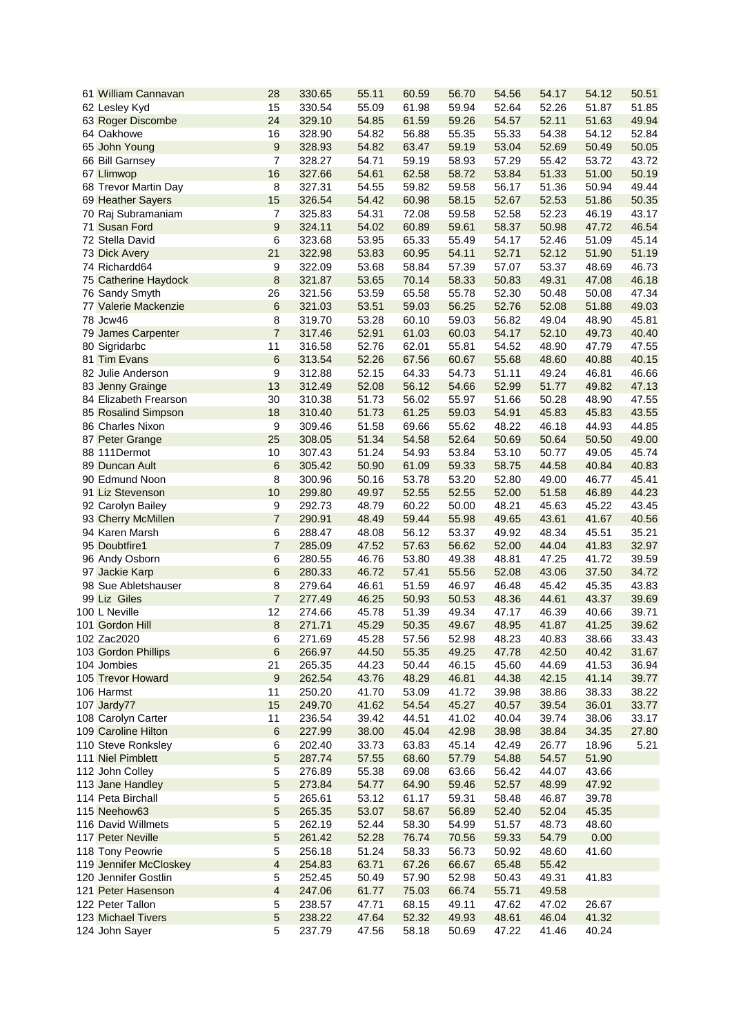| 61 William Cannavan         | 28                      | 330.65 | 55.11 | 60.59 | 56.70 | 54.56 | 54.17 | 54.12 | 50.51 |
|-----------------------------|-------------------------|--------|-------|-------|-------|-------|-------|-------|-------|
| 62 Lesley Kyd               | 15                      | 330.54 | 55.09 | 61.98 | 59.94 | 52.64 | 52.26 | 51.87 | 51.85 |
| 63 Roger Discombe           | 24                      | 329.10 | 54.85 | 61.59 | 59.26 | 54.57 | 52.11 | 51.63 | 49.94 |
| 64 Oakhowe                  | 16                      | 328.90 | 54.82 | 56.88 | 55.35 | 55.33 | 54.38 | 54.12 | 52.84 |
| 65 John Young               | 9                       | 328.93 | 54.82 | 63.47 | 59.19 | 53.04 | 52.69 | 50.49 | 50.05 |
| 66 Bill Garnsey             | 7                       | 328.27 | 54.71 | 59.19 | 58.93 | 57.29 | 55.42 | 53.72 | 43.72 |
| 67 Llimwop                  | 16                      | 327.66 | 54.61 | 62.58 | 58.72 | 53.84 | 51.33 | 51.00 | 50.19 |
| 68 Trevor Martin Day        | 8                       | 327.31 | 54.55 | 59.82 | 59.58 | 56.17 | 51.36 | 50.94 | 49.44 |
| 69 Heather Sayers           | 15                      | 326.54 | 54.42 | 60.98 | 58.15 | 52.67 | 52.53 | 51.86 | 50.35 |
|                             |                         |        |       |       |       |       |       |       |       |
| 70 Raj Subramaniam          | $\overline{7}$          | 325.83 | 54.31 | 72.08 | 59.58 | 52.58 | 52.23 | 46.19 | 43.17 |
| 71 Susan Ford               | 9                       | 324.11 | 54.02 | 60.89 | 59.61 | 58.37 | 50.98 | 47.72 | 46.54 |
| 72 Stella David             | 6                       | 323.68 | 53.95 | 65.33 | 55.49 | 54.17 | 52.46 | 51.09 | 45.14 |
| 73 Dick Avery               | 21                      | 322.98 | 53.83 | 60.95 | 54.11 | 52.71 | 52.12 | 51.90 | 51.19 |
| 74 Richardd64               | 9                       | 322.09 | 53.68 | 58.84 | 57.39 | 57.07 | 53.37 | 48.69 | 46.73 |
| 75 Catherine Haydock        | 8                       | 321.87 | 53.65 | 70.14 | 58.33 | 50.83 | 49.31 | 47.08 | 46.18 |
| 76 Sandy Smyth              | 26                      | 321.56 | 53.59 | 65.58 | 55.78 | 52.30 | 50.48 | 50.08 | 47.34 |
| <b>77 Valerie Mackenzie</b> | 6                       | 321.03 | 53.51 | 59.03 | 56.25 | 52.76 | 52.08 | 51.88 | 49.03 |
| 78 Jcw46                    | 8                       | 319.70 | 53.28 | 60.10 | 59.03 | 56.82 | 49.04 | 48.90 | 45.81 |
| 79 James Carpenter          | $\overline{7}$          | 317.46 | 52.91 | 61.03 | 60.03 | 54.17 | 52.10 | 49.73 | 40.40 |
| 80 Sigridarbc               | 11                      | 316.58 | 52.76 | 62.01 | 55.81 | 54.52 | 48.90 | 47.79 | 47.55 |
| 81 Tim Evans                |                         |        |       |       |       |       |       |       | 40.15 |
|                             | 6                       | 313.54 | 52.26 | 67.56 | 60.67 | 55.68 | 48.60 | 40.88 |       |
| 82 Julie Anderson           | 9                       | 312.88 | 52.15 | 64.33 | 54.73 | 51.11 | 49.24 | 46.81 | 46.66 |
| 83 Jenny Grainge            | 13                      | 312.49 | 52.08 | 56.12 | 54.66 | 52.99 | 51.77 | 49.82 | 47.13 |
| 84 Elizabeth Frearson       | 30                      | 310.38 | 51.73 | 56.02 | 55.97 | 51.66 | 50.28 | 48.90 | 47.55 |
| 85 Rosalind Simpson         | 18                      | 310.40 | 51.73 | 61.25 | 59.03 | 54.91 | 45.83 | 45.83 | 43.55 |
| 86 Charles Nixon            | 9                       | 309.46 | 51.58 | 69.66 | 55.62 | 48.22 | 46.18 | 44.93 | 44.85 |
| 87 Peter Grange             | 25                      | 308.05 | 51.34 | 54.58 | 52.64 | 50.69 | 50.64 | 50.50 | 49.00 |
| 88 111Dermot                | 10                      | 307.43 | 51.24 | 54.93 | 53.84 | 53.10 | 50.77 | 49.05 | 45.74 |
| 89 Duncan Ault              | 6                       | 305.42 | 50.90 | 61.09 | 59.33 | 58.75 | 44.58 | 40.84 | 40.83 |
| 90 Edmund Noon              | $\, 8$                  | 300.96 | 50.16 | 53.78 | 53.20 | 52.80 | 49.00 | 46.77 | 45.41 |
| 91 Liz Stevenson            | 10                      | 299.80 | 49.97 | 52.55 | 52.55 | 52.00 | 51.58 | 46.89 | 44.23 |
| 92 Carolyn Bailey           | 9                       | 292.73 | 48.79 | 60.22 | 50.00 | 48.21 | 45.63 | 45.22 | 43.45 |
|                             | $\overline{7}$          |        |       |       |       |       |       |       |       |
| 93 Cherry McMillen          |                         | 290.91 | 48.49 | 59.44 | 55.98 | 49.65 | 43.61 | 41.67 | 40.56 |
| 94 Karen Marsh              | 6                       | 288.47 | 48.08 | 56.12 | 53.37 | 49.92 | 48.34 | 45.51 | 35.21 |
| 95 Doubtfire1               | $\overline{7}$          | 285.09 | 47.52 | 57.63 | 56.62 | 52.00 | 44.04 | 41.83 | 32.97 |
| 96 Andy Osborn              | 6                       | 280.55 | 46.76 | 53.80 | 49.38 | 48.81 | 47.25 | 41.72 | 39.59 |
| 97 Jackie Karp              | 6                       | 280.33 | 46.72 | 57.41 | 55.56 | 52.08 | 43.06 | 37.50 | 34.72 |
| 98 Sue Abletshauser         | 8                       | 279.64 | 46.61 | 51.59 | 46.97 | 46.48 | 45.42 | 45.35 | 43.83 |
| 99 Liz Giles                | $\overline{7}$          | 277.49 | 46.25 | 50.93 | 50.53 | 48.36 | 44.61 | 43.37 | 39.69 |
| 100 L Neville               | 12                      | 274.66 | 45.78 | 51.39 | 49.34 | 47.17 | 46.39 | 40.66 | 39.71 |
| 101 Gordon Hill             | $\bf 8$                 | 271.71 | 45.29 | 50.35 | 49.67 | 48.95 | 41.87 | 41.25 | 39.62 |
| 102 Zac2020                 | 6                       | 271.69 | 45.28 | 57.56 | 52.98 | 48.23 | 40.83 | 38.66 | 33.43 |
| 103 Gordon Phillips         | 6                       | 266.97 | 44.50 | 55.35 | 49.25 | 47.78 | 42.50 | 40.42 | 31.67 |
| 104 Jombies                 | 21                      | 265.35 | 44.23 | 50.44 | 46.15 | 45.60 | 44.69 | 41.53 | 36.94 |
| 105 Trevor Howard           | $\boldsymbol{9}$        |        |       |       |       |       |       |       |       |
|                             |                         | 262.54 | 43.76 | 48.29 | 46.81 | 44.38 | 42.15 | 41.14 | 39.77 |
| 106 Harmst                  | 11                      | 250.20 | 41.70 | 53.09 | 41.72 | 39.98 | 38.86 | 38.33 | 38.22 |
| 107 Jardy77                 | 15                      | 249.70 | 41.62 | 54.54 | 45.27 | 40.57 | 39.54 | 36.01 | 33.77 |
| 108 Carolyn Carter          | 11                      | 236.54 | 39.42 | 44.51 | 41.02 | 40.04 | 39.74 | 38.06 | 33.17 |
| 109 Caroline Hilton         | $\,6\,$                 | 227.99 | 38.00 | 45.04 | 42.98 | 38.98 | 38.84 | 34.35 | 27.80 |
| 110 Steve Ronksley          | 6                       | 202.40 | 33.73 | 63.83 | 45.14 | 42.49 | 26.77 | 18.96 | 5.21  |
| 111 Niel Pimblett           | 5                       | 287.74 | 57.55 | 68.60 | 57.79 | 54.88 | 54.57 | 51.90 |       |
| 112 John Colley             | 5                       | 276.89 | 55.38 | 69.08 | 63.66 | 56.42 | 44.07 | 43.66 |       |
| 113 Jane Handley            | 5                       | 273.84 | 54.77 | 64.90 | 59.46 | 52.57 | 48.99 | 47.92 |       |
| 114 Peta Birchall           | 5                       | 265.61 | 53.12 | 61.17 | 59.31 | 58.48 | 46.87 | 39.78 |       |
| 115 Neehow63                | 5                       | 265.35 | 53.07 | 58.67 | 56.89 | 52.40 | 52.04 | 45.35 |       |
| 116 David Willmets          | 5                       | 262.19 | 52.44 | 58.30 | 54.99 | 51.57 | 48.73 | 48.60 |       |
| 117 Peter Neville           | 5                       |        | 52.28 | 76.74 |       |       |       | 0.00  |       |
|                             |                         | 261.42 |       |       | 70.56 | 59.33 | 54.79 |       |       |
| 118 Tony Peowrie            | 5                       | 256.18 | 51.24 | 58.33 | 56.73 | 50.92 | 48.60 | 41.60 |       |
| 119 Jennifer McCloskey      | $\overline{\mathbf{4}}$ | 254.83 | 63.71 | 67.26 | 66.67 | 65.48 | 55.42 |       |       |
| 120 Jennifer Gostlin        | 5                       | 252.45 | 50.49 | 57.90 | 52.98 | 50.43 | 49.31 | 41.83 |       |
| 121 Peter Hasenson          | $\overline{4}$          | 247.06 | 61.77 | 75.03 | 66.74 | 55.71 | 49.58 |       |       |
| 122 Peter Tallon            | 5                       | 238.57 | 47.71 | 68.15 | 49.11 | 47.62 | 47.02 | 26.67 |       |
| <b>123 Michael Tivers</b>   | 5                       | 238.22 | 47.64 | 52.32 | 49.93 | 48.61 | 46.04 | 41.32 |       |
| 124 John Sayer              | 5                       | 237.79 | 47.56 | 58.18 | 50.69 | 47.22 | 41.46 | 40.24 |       |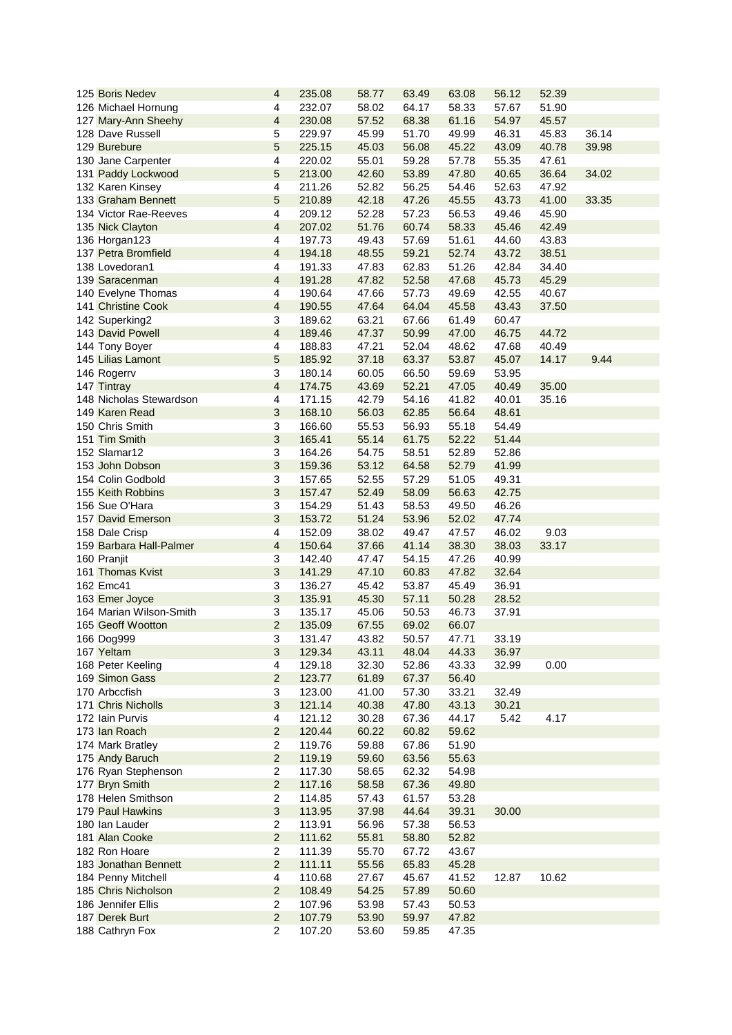| 125 Boris Nedev           | 4                       | 235.08 | 58.77 | 63.49 | 63.08 | 56.12 | 52.39 |       |
|---------------------------|-------------------------|--------|-------|-------|-------|-------|-------|-------|
| 126 Michael Hornung       | 4                       | 232.07 | 58.02 | 64.17 | 58.33 | 57.67 | 51.90 |       |
| 127 Mary-Ann Sheehy       | $\overline{4}$          | 230.08 | 57.52 | 68.38 | 61.16 | 54.97 | 45.57 |       |
| 128 Dave Russell          | 5                       | 229.97 | 45.99 | 51.70 | 49.99 | 46.31 | 45.83 | 36.14 |
| 129 Burebure              | 5                       | 225.15 | 45.03 | 56.08 | 45.22 | 43.09 | 40.78 | 39.98 |
| 130 Jane Carpenter        | 4                       | 220.02 | 55.01 | 59.28 | 57.78 | 55.35 | 47.61 |       |
| 131 Paddy Lockwood        | $\sqrt{5}$              | 213.00 | 42.60 | 53.89 | 47.80 | 40.65 | 36.64 | 34.02 |
| 132 Karen Kinsey          | 4                       | 211.26 | 52.82 | 56.25 | 54.46 | 52.63 | 47.92 |       |
| 133 Graham Bennett        | 5                       | 210.89 | 42.18 | 47.26 | 45.55 | 43.73 | 41.00 | 33.35 |
| 134 Victor Rae-Reeves     | $\overline{\mathbf{4}}$ | 209.12 | 52.28 | 57.23 | 56.53 | 49.46 | 45.90 |       |
| 135 Nick Clayton          | $\overline{\mathbf{4}}$ | 207.02 | 51.76 | 60.74 | 58.33 | 45.46 | 42.49 |       |
| 136 Horgan123             | 4                       | 197.73 | 49.43 | 57.69 | 51.61 | 44.60 | 43.83 |       |
| 137 Petra Bromfield       | $\overline{4}$          | 194.18 | 48.55 | 59.21 | 52.74 | 43.72 | 38.51 |       |
| 138 Lovedoran1            | $\overline{\mathbf{4}}$ | 191.33 | 47.83 | 62.83 | 51.26 | 42.84 | 34.40 |       |
| 139 Saracenman            | $\overline{4}$          | 191.28 | 47.82 | 52.58 | 47.68 | 45.73 | 45.29 |       |
| 140 Evelyne Thomas        | 4                       | 190.64 | 47.66 | 57.73 | 49.69 | 42.55 | 40.67 |       |
| <b>141 Christine Cook</b> | $\overline{\mathbf{4}}$ | 190.55 | 47.64 | 64.04 | 45.58 | 43.43 | 37.50 |       |
| 142 Superking2            | 3                       | 189.62 | 63.21 | 67.66 | 61.49 | 60.47 |       |       |
| 143 David Powell          | $\overline{4}$          | 189.46 | 47.37 | 50.99 | 47.00 | 46.75 | 44.72 |       |
| 144 Tony Boyer            | $\overline{\mathbf{4}}$ | 188.83 | 47.21 | 52.04 | 48.62 | 47.68 | 40.49 |       |
| 145 Lilias Lamont         | 5                       | 185.92 | 37.18 | 63.37 | 53.87 | 45.07 | 14.17 | 9.44  |
| 146 Rogerrv               | $\mathbf{3}$            | 180.14 | 60.05 | 66.50 | 59.69 | 53.95 |       |       |
| 147 Tintray               | $\overline{4}$          | 174.75 | 43.69 | 52.21 | 47.05 | 40.49 | 35.00 |       |
| 148 Nicholas Stewardson   | $\overline{\mathbf{4}}$ | 171.15 | 42.79 | 54.16 | 41.82 | 40.01 | 35.16 |       |
| 149 Karen Read            | 3                       | 168.10 | 56.03 | 62.85 | 56.64 | 48.61 |       |       |
| 150 Chris Smith           | 3                       | 166.60 | 55.53 | 56.93 | 55.18 | 54.49 |       |       |
| 151 Tim Smith             | 3                       | 165.41 | 55.14 | 61.75 | 52.22 | 51.44 |       |       |
| 152 Slamar12              | $\sqrt{3}$              | 164.26 | 54.75 | 58.51 | 52.89 | 52.86 |       |       |
| 153 John Dobson           | $\sqrt{3}$              | 159.36 | 53.12 | 64.58 | 52.79 | 41.99 |       |       |
| 154 Colin Godbold         | $\sqrt{3}$              | 157.65 | 52.55 | 57.29 | 51.05 | 49.31 |       |       |
| 155 Keith Robbins         | 3                       | 157.47 | 52.49 | 58.09 | 56.63 | 42.75 |       |       |
| 156 Sue O'Hara            | 3                       | 154.29 | 51.43 | 58.53 | 49.50 | 46.26 |       |       |
| 157 David Emerson         | $\mathfrak{S}$          | 153.72 | 51.24 | 53.96 | 52.02 | 47.74 |       |       |
| 158 Dale Crisp            | $\overline{\mathbf{4}}$ | 152.09 | 38.02 | 49.47 | 47.57 | 46.02 | 9.03  |       |
| 159 Barbara Hall-Palmer   | $\overline{4}$          | 150.64 | 37.66 | 41.14 | 38.30 | 38.03 | 33.17 |       |
| 160 Pranjit               | 3                       | 142.40 | 47.47 | 54.15 | 47.26 | 40.99 |       |       |
| 161 Thomas Kvist          | 3                       | 141.29 | 47.10 | 60.83 | 47.82 | 32.64 |       |       |
| 162 Emc41                 | 3                       | 136.27 | 45.42 | 53.87 | 45.49 | 36.91 |       |       |
| 163 Emer Joyce            | $\mathfrak{S}$          | 135.91 | 45.30 | 57.11 | 50.28 | 28.52 |       |       |
| 164 Marian Wilson-Smith   | 3                       | 135.17 | 45.06 | 50.53 | 46.73 | 37.91 |       |       |
| 165 Geoff Wootton         | $\overline{2}$          | 135.09 | 67.55 | 69.02 | 66.07 |       |       |       |
| 166 Dog999                | 3                       | 131.47 | 43.82 | 50.57 | 47.71 | 33.19 |       |       |
| 167 Yeltam                | 3                       | 129.34 | 43.11 | 48.04 | 44.33 | 36.97 |       |       |
| 168 Peter Keeling         | $\overline{\mathbf{4}}$ | 129.18 | 32.30 | 52.86 | 43.33 | 32.99 | 0.00  |       |
| 169 Simon Gass            | $\overline{2}$          | 123.77 | 61.89 | 67.37 | 56.40 |       |       |       |
| 170 Arbccfish             | 3                       | 123.00 | 41.00 | 57.30 | 33.21 | 32.49 |       |       |
| 171 Chris Nicholls        | 3                       | 121.14 | 40.38 | 47.80 | 43.13 | 30.21 |       |       |
| 172 Iain Purvis           | $\overline{\mathbf{4}}$ | 121.12 | 30.28 | 67.36 | 44.17 | 5.42  | 4.17  |       |
| 173 Ian Roach             | $\overline{2}$          | 120.44 | 60.22 | 60.82 | 59.62 |       |       |       |
| 174 Mark Bratley          | $\overline{2}$          | 119.76 | 59.88 | 67.86 | 51.90 |       |       |       |
| 175 Andy Baruch           | $\overline{2}$          | 119.19 | 59.60 | 63.56 | 55.63 |       |       |       |
| 176 Ryan Stephenson       | $\overline{2}$          | 117.30 | 58.65 | 62.32 | 54.98 |       |       |       |
| 177 Bryn Smith            | $\overline{2}$          | 117.16 | 58.58 | 67.36 | 49.80 |       |       |       |
| 178 Helen Smithson        | $\overline{2}$          | 114.85 | 57.43 | 61.57 | 53.28 |       |       |       |
| 179 Paul Hawkins          | 3                       | 113.95 | 37.98 | 44.64 | 39.31 | 30.00 |       |       |
| 180 Ian Lauder            | $\overline{2}$          | 113.91 | 56.96 | 57.38 | 56.53 |       |       |       |
| 181 Alan Cooke            | $\overline{2}$          | 111.62 | 55.81 | 58.80 | 52.82 |       |       |       |
| 182 Ron Hoare             | $\overline{2}$          | 111.39 | 55.70 | 67.72 | 43.67 |       |       |       |
| 183 Jonathan Bennett      | $\overline{2}$          | 111.11 | 55.56 | 65.83 | 45.28 |       |       |       |
| 184 Penny Mitchell        | $\overline{4}$          | 110.68 | 27.67 | 45.67 | 41.52 | 12.87 | 10.62 |       |
| 185 Chris Nicholson       | $\overline{2}$          | 108.49 | 54.25 | 57.89 | 50.60 |       |       |       |
| 186 Jennifer Ellis        | $\overline{2}$          | 107.96 | 53.98 | 57.43 | 50.53 |       |       |       |
| 187 Derek Burt            | $\overline{2}$          | 107.79 | 53.90 | 59.97 | 47.82 |       |       |       |
| 188 Cathryn Fox           | $\overline{2}$          | 107.20 | 53.60 | 59.85 | 47.35 |       |       |       |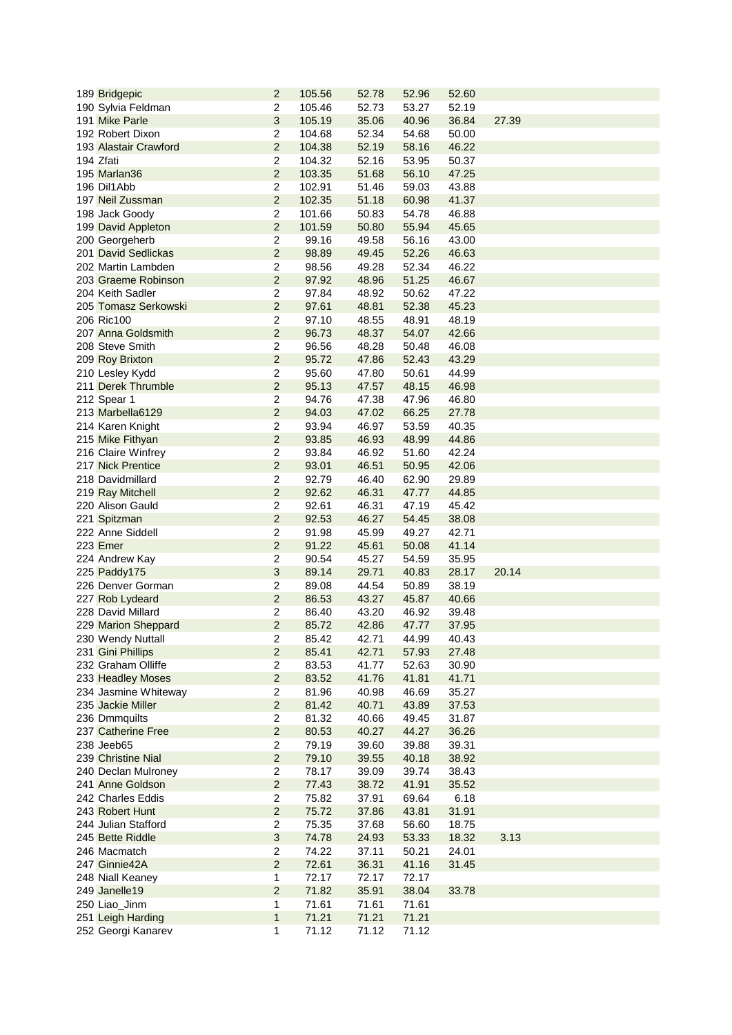| 189 Bridgepic              | $\overline{2}$          | 105.56 | 52.78          | 52.96 | 52.60 |       |
|----------------------------|-------------------------|--------|----------------|-------|-------|-------|
| 190 Sylvia Feldman         | $\overline{2}$          | 105.46 | 52.73          | 53.27 | 52.19 |       |
| 191 Mike Parle             | 3                       | 105.19 | 35.06          | 40.96 | 36.84 | 27.39 |
| 192 Robert Dixon           | $\overline{2}$          | 104.68 | 52.34          | 54.68 | 50.00 |       |
| 193 Alastair Crawford      | $\overline{2}$          | 104.38 | 52.19          | 58.16 | 46.22 |       |
| 194 Zfati                  | $\overline{2}$          | 104.32 | 52.16          | 53.95 | 50.37 |       |
| 195 Marlan36               | $\overline{2}$          | 103.35 | 51.68          | 56.10 | 47.25 |       |
| 196 Dil1Abb                | $\overline{2}$          | 102.91 | 51.46          | 59.03 | 43.88 |       |
| 197 Neil Zussman           | $\overline{2}$          | 102.35 | 51.18          | 60.98 | 41.37 |       |
|                            | $\overline{2}$          | 101.66 | 50.83          | 54.78 | 46.88 |       |
| 198 Jack Goody             | $\overline{2}$          |        |                |       |       |       |
| 199 David Appleton         |                         | 101.59 | 50.80<br>49.58 | 55.94 | 45.65 |       |
| 200 Georgeherb             | $\overline{2}$          | 99.16  |                | 56.16 | 43.00 |       |
| <b>201 David Sedlickas</b> | $\overline{2}$          | 98.89  | 49.45          | 52.26 | 46.63 |       |
| 202 Martin Lambden         | $\mathbf 2$             | 98.56  | 49.28          | 52.34 | 46.22 |       |
| 203 Graeme Robinson        | $\overline{2}$          | 97.92  | 48.96          | 51.25 | 46.67 |       |
| 204 Keith Sadler           | $\overline{2}$          | 97.84  | 48.92          | 50.62 | 47.22 |       |
| 205 Tomasz Serkowski       | $\overline{2}$          | 97.61  | 48.81          | 52.38 | 45.23 |       |
| 206 Ric100                 | $\overline{2}$          | 97.10  | 48.55          | 48.91 | 48.19 |       |
| 207 Anna Goldsmith         | $\overline{2}$          | 96.73  | 48.37          | 54.07 | 42.66 |       |
| 208 Steve Smith            | $\overline{2}$          | 96.56  | 48.28          | 50.48 | 46.08 |       |
| 209 Roy Brixton            | $\overline{2}$          | 95.72  | 47.86          | 52.43 | 43.29 |       |
| 210 Lesley Kydd            | $\overline{2}$          | 95.60  | 47.80          | 50.61 | 44.99 |       |
| 211 Derek Thrumble         | $\overline{2}$          | 95.13  | 47.57          | 48.15 | 46.98 |       |
| 212 Spear 1                | $\overline{2}$          | 94.76  | 47.38          | 47.96 | 46.80 |       |
| 213 Marbella6129           | $\overline{2}$          | 94.03  | 47.02          | 66.25 | 27.78 |       |
| 214 Karen Knight           | $\mathbf 2$             | 93.94  | 46.97          | 53.59 | 40.35 |       |
| 215 Mike Fithyan           | $\overline{2}$          | 93.85  | 46.93          | 48.99 | 44.86 |       |
| 216 Claire Winfrey         | $\mathbf 2$             | 93.84  | 46.92          | 51.60 | 42.24 |       |
| 217 Nick Prentice          | $\overline{2}$          | 93.01  | 46.51          | 50.95 | 42.06 |       |
| 218 Davidmillard           | $\overline{2}$          | 92.79  | 46.40          | 62.90 | 29.89 |       |
| 219 Ray Mitchell           | $\overline{2}$          | 92.62  | 46.31          | 47.77 | 44.85 |       |
| 220 Alison Gauld           | $\overline{2}$          | 92.61  | 46.31          | 47.19 | 45.42 |       |
| 221 Spitzman               | $\overline{2}$          | 92.53  | 46.27          | 54.45 | 38.08 |       |
| 222 Anne Siddell           | $\overline{\mathbf{c}}$ | 91.98  | 45.99          | 49.27 | 42.71 |       |
| 223 Emer                   | $\overline{2}$          | 91.22  | 45.61          | 50.08 | 41.14 |       |
| 224 Andrew Kay             | $\overline{\mathbf{c}}$ | 90.54  | 45.27          | 54.59 | 35.95 |       |
| 225 Paddy175               | 3                       | 89.14  | 29.71          | 40.83 | 28.17 | 20.14 |
| 226 Denver Gorman          | 2                       | 89.08  | 44.54          | 50.89 | 38.19 |       |
| 227 Rob Lydeard            | $\overline{2}$          | 86.53  | 43.27          | 45.87 | 40.66 |       |
| 228 David Millard          | $\overline{c}$          | 86.40  | 43.20          | 46.92 | 39.48 |       |
|                            | $\overline{2}$          | 85.72  | 42.86          | 47.77 | 37.95 |       |
| 229 Marion Sheppard        |                         |        |                |       |       |       |
| 230 Wendy Nuttall          | $\overline{c}$          | 85.42  | 42.71          | 44.99 | 40.43 |       |
| 231 Gini Phillips          | $\overline{2}$          | 85.41  | 42.71          | 57.93 | 27.48 |       |
| 232 Graham Olliffe         | $\overline{2}$          | 83.53  | 41.77          | 52.63 | 30.90 |       |
| 233 Headley Moses          | $\overline{2}$          | 83.52  | 41.76          | 41.81 | 41.71 |       |
| 234 Jasmine Whiteway       | $\overline{2}$          | 81.96  | 40.98          | 46.69 | 35.27 |       |
| 235 Jackie Miller          | $\overline{2}$          | 81.42  | 40.71          | 43.89 | 37.53 |       |
| 236 Dmmquilts              | $\overline{c}$          | 81.32  | 40.66          | 49.45 | 31.87 |       |
| 237 Catherine Free         | $\overline{2}$          | 80.53  | 40.27          | 44.27 | 36.26 |       |
| 238 Jeeb65                 | $\overline{c}$          | 79.19  | 39.60          | 39.88 | 39.31 |       |
| 239 Christine Nial         | $\overline{2}$          | 79.10  | 39.55          | 40.18 | 38.92 |       |
| 240 Declan Mulroney        | $\overline{2}$          | 78.17  | 39.09          | 39.74 | 38.43 |       |
| 241 Anne Goldson           | $\overline{2}$          | 77.43  | 38.72          | 41.91 | 35.52 |       |
| 242 Charles Eddis          | $\overline{c}$          | 75.82  | 37.91          | 69.64 | 6.18  |       |
| 243 Robert Hunt            | $\overline{2}$          | 75.72  | 37.86          | 43.81 | 31.91 |       |
| 244 Julian Stafford        | $\overline{2}$          | 75.35  | 37.68          | 56.60 | 18.75 |       |
| 245 Bette Riddle           | 3                       | 74.78  | 24.93          | 53.33 | 18.32 | 3.13  |
| 246 Macmatch               | $\overline{2}$          | 74.22  | 37.11          | 50.21 | 24.01 |       |
| 247 Ginnie42A              | $\overline{2}$          | 72.61  | 36.31          | 41.16 | 31.45 |       |
| 248 Niall Keaney           | 1                       | 72.17  | 72.17          | 72.17 |       |       |
| 249 Janelle19              | $\overline{2}$          | 71.82  | 35.91          | 38.04 | 33.78 |       |
|                            |                         |        |                |       |       |       |
| 250 Liao_Jinm              | 1                       | 71.61  | 71.61          | 71.61 |       |       |
| 251 Leigh Harding          | $\mathbf{1}$            | 71.21  | 71.21          | 71.21 |       |       |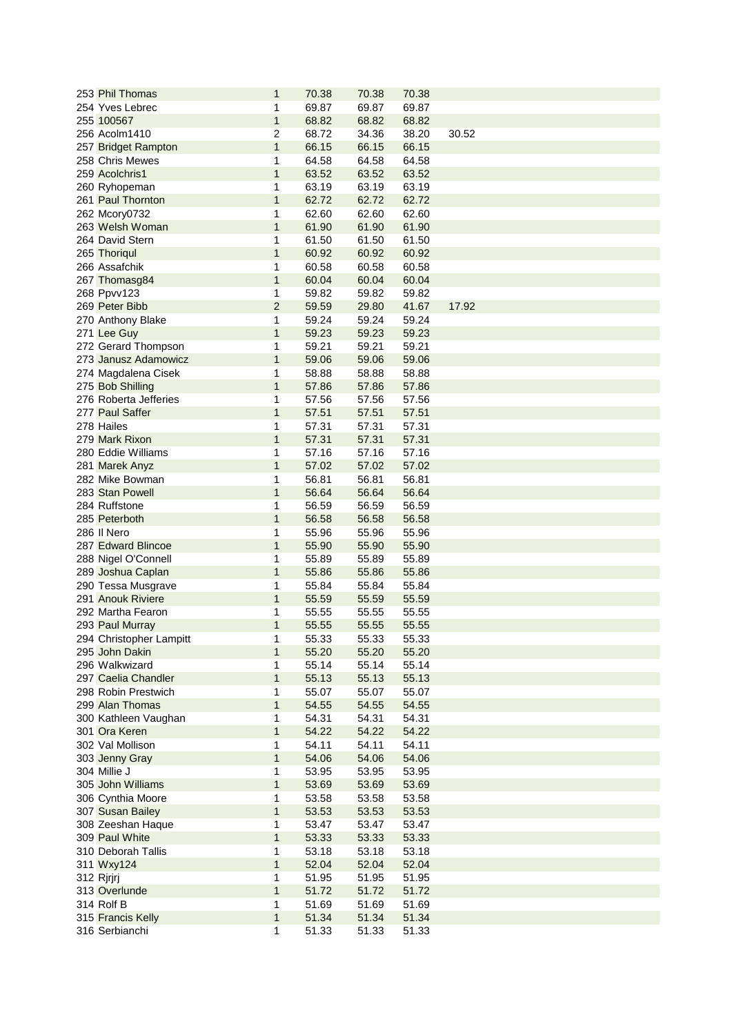| 253 Phil Thomas         | 1              | 70.38 | 70.38 | 70.38 |       |
|-------------------------|----------------|-------|-------|-------|-------|
| 254 Yves Lebrec         | 1              | 69.87 | 69.87 | 69.87 |       |
| 255 100567              | $\mathbf{1}$   | 68.82 | 68.82 | 68.82 |       |
| 256 Acolm1410           | $\overline{2}$ | 68.72 | 34.36 | 38.20 | 30.52 |
| 257 Bridget Rampton     | $\mathbf{1}$   | 66.15 | 66.15 | 66.15 |       |
| 258 Chris Mewes         | 1              | 64.58 | 64.58 | 64.58 |       |
| 259 Acolchris1          | $\mathbf{1}$   | 63.52 | 63.52 | 63.52 |       |
| 260 Ryhopeman           | 1              | 63.19 | 63.19 | 63.19 |       |
| 261 Paul Thornton       | 1              | 62.72 | 62.72 | 62.72 |       |
| 262 Mcory0732           | 1              | 62.60 | 62.60 | 62.60 |       |
| 263 Welsh Woman         | $\mathbf{1}$   | 61.90 | 61.90 | 61.90 |       |
| 264 David Stern         | 1              | 61.50 | 61.50 | 61.50 |       |
| 265 Thoriqul            | 1              | 60.92 | 60.92 | 60.92 |       |
| 266 Assafchik           | 1              | 60.58 | 60.58 | 60.58 |       |
| 267 Thomasg84           | $\mathbf{1}$   | 60.04 | 60.04 | 60.04 |       |
| 268 Ppvv123             | 1              | 59.82 | 59.82 | 59.82 |       |
| 269 Peter Bibb          | $\overline{2}$ | 59.59 | 29.80 | 41.67 | 17.92 |
| 270 Anthony Blake       | 1              | 59.24 | 59.24 | 59.24 |       |
| 271 Lee Guy             | $\mathbf{1}$   | 59.23 | 59.23 | 59.23 |       |
| 272 Gerard Thompson     | 1              | 59.21 | 59.21 | 59.21 |       |
| 273 Janusz Adamowicz    | 1              | 59.06 | 59.06 | 59.06 |       |
| 274 Magdalena Cisek     | 1              | 58.88 | 58.88 | 58.88 |       |
| 275 Bob Shilling        | 1              | 57.86 | 57.86 | 57.86 |       |
| 276 Roberta Jefferies   | 1              | 57.56 | 57.56 | 57.56 |       |
| 277 Paul Saffer         | $\mathbf{1}$   | 57.51 | 57.51 | 57.51 |       |
| 278 Hailes              | 1              | 57.31 | 57.31 | 57.31 |       |
| 279 Mark Rixon          | $\mathbf{1}$   | 57.31 | 57.31 | 57.31 |       |
| 280 Eddie Williams      | 1              | 57.16 | 57.16 | 57.16 |       |
| 281 Marek Anyz          | $\mathbf{1}$   | 57.02 | 57.02 | 57.02 |       |
| 282 Mike Bowman         | 1              | 56.81 | 56.81 | 56.81 |       |
| 283 Stan Powell         | 1              | 56.64 | 56.64 | 56.64 |       |
| 284 Ruffstone           | 1              | 56.59 | 56.59 | 56.59 |       |
| 285 Peterboth           | 1              | 56.58 | 56.58 | 56.58 |       |
| 286 Il Nero             | 1              | 55.96 | 55.96 | 55.96 |       |
| 287 Edward Blincoe      | 1              | 55.90 | 55.90 | 55.90 |       |
| 288 Nigel O'Connell     | 1              | 55.89 | 55.89 | 55.89 |       |
| 289 Joshua Caplan       | $\mathbf{1}$   | 55.86 | 55.86 | 55.86 |       |
| 290 Tessa Musgrave      | 1              | 55.84 | 55.84 | 55.84 |       |
| 291 Anouk Riviere       | 1              | 55.59 | 55.59 | 55.59 |       |
| 292 Martha Fearon       |                | 55.55 | 55.55 | 55.55 |       |
| 293 Paul Murray         | 1              | 55.55 | 55.55 | 55.55 |       |
| 294 Christopher Lampitt | 1              | 55.33 | 55.33 | 55.33 |       |
| 295 John Dakin          | 1              | 55.20 | 55.20 | 55.20 |       |
| 296 Walkwizard          | 1              | 55.14 | 55.14 | 55.14 |       |
| 297 Caelia Chandler     | 1              | 55.13 | 55.13 | 55.13 |       |
| 298 Robin Prestwich     | 1              | 55.07 | 55.07 | 55.07 |       |
| 299 Alan Thomas         | $\mathbf{1}$   | 54.55 | 54.55 | 54.55 |       |
| 300 Kathleen Vaughan    | 1              | 54.31 | 54.31 | 54.31 |       |
| 301 Ora Keren           | $\mathbf{1}$   | 54.22 | 54.22 | 54.22 |       |
| 302 Val Mollison        | 1              | 54.11 | 54.11 | 54.11 |       |
| 303 Jenny Gray          | 1              | 54.06 | 54.06 | 54.06 |       |
| 304 Millie J            | 1              | 53.95 | 53.95 | 53.95 |       |
| 305 John Williams       |                | 53.69 | 53.69 | 53.69 |       |
| 306 Cynthia Moore       | 1              | 53.58 | 53.58 | 53.58 |       |
| 307 Susan Bailey        | 1              | 53.53 | 53.53 | 53.53 |       |
| 308 Zeeshan Haque       | 1              | 53.47 | 53.47 | 53.47 |       |
| 309 Paul White          | 1              | 53.33 | 53.33 | 53.33 |       |
| 310 Deborah Tallis      | 1              | 53.18 | 53.18 | 53.18 |       |
| 311 Wxy124              | $\mathbf{1}$   | 52.04 | 52.04 | 52.04 |       |
| 312 Rjrjrj              | 1              | 51.95 | 51.95 | 51.95 |       |
| 313 Overlunde           | 1              | 51.72 | 51.72 | 51.72 |       |
| 314 Rolf B              | 1              | 51.69 | 51.69 | 51.69 |       |
| 315 Francis Kelly       | $\mathbf{1}$   | 51.34 | 51.34 | 51.34 |       |
| 316 Serbianchi          | 1              | 51.33 | 51.33 | 51.33 |       |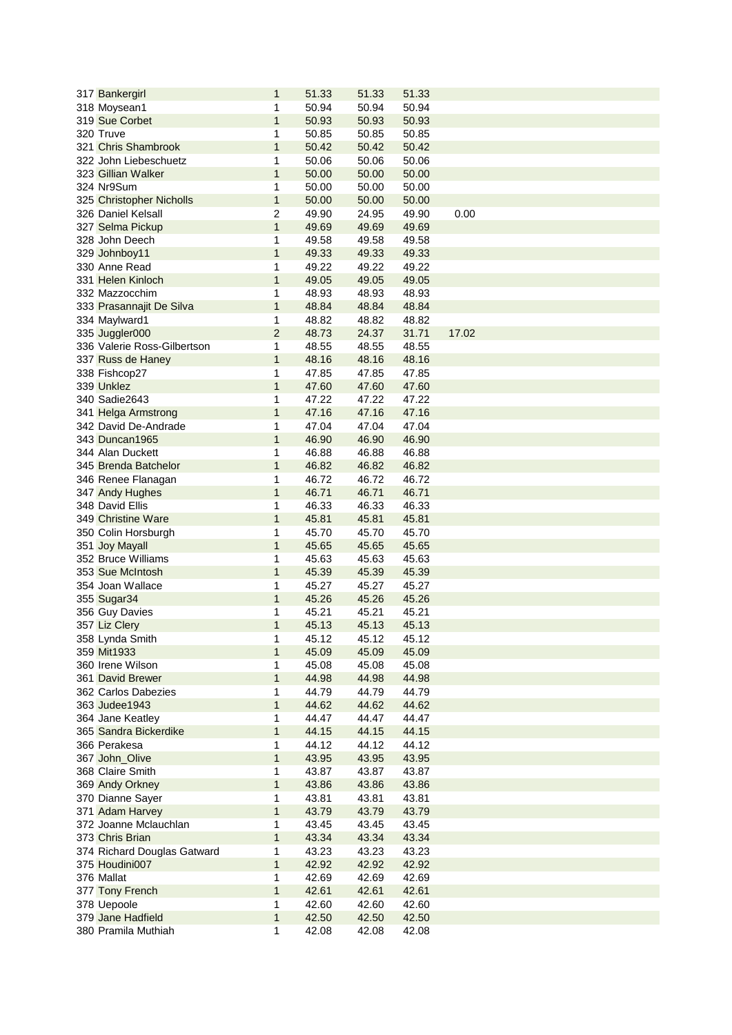| 317 Bankergirl              | $\mathbf 1$    | 51.33 | 51.33 | 51.33 |       |
|-----------------------------|----------------|-------|-------|-------|-------|
| 318 Moysean1                | 1              | 50.94 | 50.94 | 50.94 |       |
| 319 Sue Corbet              | $\mathbf{1}$   | 50.93 | 50.93 | 50.93 |       |
| 320 Truve                   | 1              | 50.85 | 50.85 | 50.85 |       |
| 321 Chris Shambrook         | $\mathbf{1}$   | 50.42 | 50.42 | 50.42 |       |
| 322 John Liebeschuetz       | 1              | 50.06 | 50.06 | 50.06 |       |
| 323 Gillian Walker          | 1              | 50.00 | 50.00 | 50.00 |       |
| 324 Nr9Sum                  | 1              | 50.00 | 50.00 | 50.00 |       |
| 325 Christopher Nicholls    | $\mathbf 1$    | 50.00 | 50.00 | 50.00 |       |
| 326 Daniel Kelsall          | $\overline{2}$ | 49.90 | 24.95 | 49.90 | 0.00  |
| 327 Selma Pickup            | $\mathbf{1}$   | 49.69 | 49.69 | 49.69 |       |
| 328 John Deech              | 1              |       |       |       |       |
|                             |                | 49.58 | 49.58 | 49.58 |       |
| 329 Johnboy11               | $\mathbf{1}$   | 49.33 | 49.33 | 49.33 |       |
| 330 Anne Read               | 1              | 49.22 | 49.22 | 49.22 |       |
| 331 Helen Kinloch           | $\mathbf{1}$   | 49.05 | 49.05 | 49.05 |       |
| 332 Mazzocchim              | 1              | 48.93 | 48.93 | 48.93 |       |
| 333 Prasannajit De Silva    | $\mathbf 1$    | 48.84 | 48.84 | 48.84 |       |
| 334 Maylward1               | 1              | 48.82 | 48.82 | 48.82 |       |
| 335 Juggler000              | $\overline{2}$ | 48.73 | 24.37 | 31.71 | 17.02 |
| 336 Valerie Ross-Gilbertson | 1              | 48.55 | 48.55 | 48.55 |       |
| 337 Russ de Haney           | 1              | 48.16 | 48.16 | 48.16 |       |
| 338 Fishcop27               | 1              | 47.85 | 47.85 | 47.85 |       |
| 339 Unklez                  | $\mathbf{1}$   | 47.60 | 47.60 | 47.60 |       |
| 340 Sadie2643               | 1              | 47.22 | 47.22 | 47.22 |       |
| 341 Helga Armstrong         | $\mathbf{1}$   | 47.16 | 47.16 | 47.16 |       |
| 342 David De-Andrade        | 1              | 47.04 | 47.04 | 47.04 |       |
| 343 Duncan1965              | $\overline{1}$ | 46.90 | 46.90 | 46.90 |       |
| 344 Alan Duckett            | 1              | 46.88 | 46.88 | 46.88 |       |
| 345 Brenda Batchelor        | 1              | 46.82 | 46.82 | 46.82 |       |
| 346 Renee Flanagan          | 1              | 46.72 | 46.72 | 46.72 |       |
| 347 Andy Hughes             | 1              | 46.71 | 46.71 | 46.71 |       |
| 348 David Ellis             | 1              | 46.33 | 46.33 | 46.33 |       |
|                             |                |       |       |       |       |
| 349 Christine Ware          | $\mathbf{1}$   | 45.81 | 45.81 | 45.81 |       |
| 350 Colin Horsburgh         | 1              | 45.70 | 45.70 | 45.70 |       |
| 351 Joy Mayall              | $\mathbf{1}$   | 45.65 | 45.65 | 45.65 |       |
| 352 Bruce Williams          | 1              | 45.63 | 45.63 | 45.63 |       |
| 353 Sue McIntosh            | 1              | 45.39 | 45.39 | 45.39 |       |
| 354 Joan Wallace            | 1              | 45.27 | 45.27 | 45.27 |       |
| 355 Sugar34                 | 1              | 45.26 | 45.26 | 45.26 |       |
| 356 Guy Davies              | 1              | 45.21 | 45.21 | 45.21 |       |
| 357 Liz Clery               | 1              | 45.13 | 45.13 | 45.13 |       |
| 358 Lynda Smith             | 1              | 45.12 | 45.12 | 45.12 |       |
| 359 Mit1933                 | 1              | 45.09 | 45.09 | 45.09 |       |
| 360 Irene Wilson            | 1              | 45.08 | 45.08 | 45.08 |       |
| 361 David Brewer            | 1              | 44.98 | 44.98 | 44.98 |       |
| 362 Carlos Dabezies         | 1              | 44.79 | 44.79 | 44.79 |       |
| 363 Judee1943               | 1              | 44.62 | 44.62 | 44.62 |       |
| 364 Jane Keatley            | 1              | 44.47 | 44.47 | 44.47 |       |
| 365 Sandra Bickerdike       | 1              | 44.15 | 44.15 | 44.15 |       |
| 366 Perakesa                | 1              | 44.12 | 44.12 | 44.12 |       |
| 367 John_Olive              | 1              | 43.95 | 43.95 | 43.95 |       |
| 368 Claire Smith            | 1              | 43.87 | 43.87 | 43.87 |       |
| 369 Andy Orkney             | 1              | 43.86 | 43.86 | 43.86 |       |
| 370 Dianne Sayer            | 1              | 43.81 | 43.81 | 43.81 |       |
| 371 Adam Harvey             | 1              | 43.79 | 43.79 | 43.79 |       |
| 372 Joanne Mclauchlan       |                |       |       |       |       |
|                             | 1<br>1         | 43.45 | 43.45 | 43.45 |       |
| 373 Chris Brian             |                | 43.34 | 43.34 | 43.34 |       |
| 374 Richard Douglas Gatward | 1              | 43.23 | 43.23 | 43.23 |       |
| 375 Houdini007              | $\mathbf{1}$   | 42.92 | 42.92 | 42.92 |       |
| 376 Mallat                  | 1              | 42.69 | 42.69 | 42.69 |       |
| 377 Tony French             | 1              | 42.61 | 42.61 | 42.61 |       |
| 378 Uepoole                 | 1              | 42.60 | 42.60 | 42.60 |       |
| 379 Jane Hadfield           | 1              | 42.50 | 42.50 | 42.50 |       |
| 380 Pramila Muthiah         | 1              | 42.08 | 42.08 | 42.08 |       |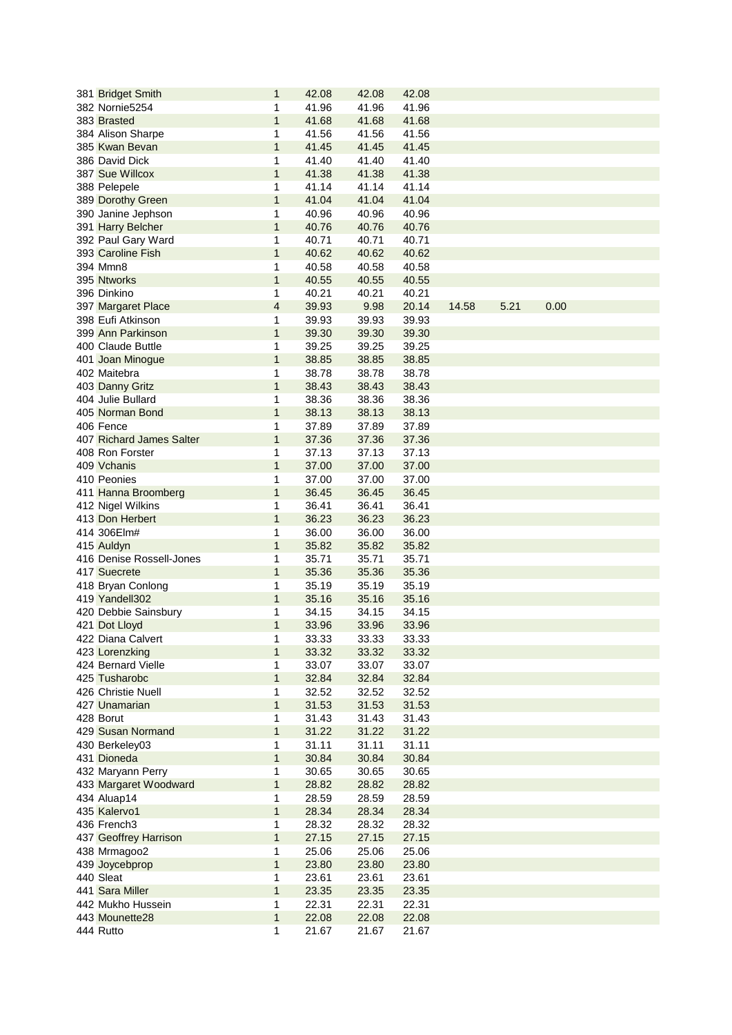| 381 Bridget Smith        | $\mathbf{1}$ | 42.08 | 42.08 | 42.08 |       |      |      |
|--------------------------|--------------|-------|-------|-------|-------|------|------|
| 382 Nornie5254           | 1            | 41.96 | 41.96 | 41.96 |       |      |      |
| 383 Brasted              | $\mathbf{1}$ | 41.68 | 41.68 | 41.68 |       |      |      |
| 384 Alison Sharpe        | 1            | 41.56 | 41.56 | 41.56 |       |      |      |
| 385 Kwan Bevan           | $\mathbf 1$  | 41.45 | 41.45 | 41.45 |       |      |      |
| 386 David Dick           | 1            | 41.40 | 41.40 | 41.40 |       |      |      |
| 387 Sue Willcox          | $\mathbf{1}$ | 41.38 | 41.38 | 41.38 |       |      |      |
| 388 Pelepele             | 1            | 41.14 | 41.14 | 41.14 |       |      |      |
| 389 Dorothy Green        | $\mathbf{1}$ | 41.04 | 41.04 | 41.04 |       |      |      |
|                          | 1            | 40.96 | 40.96 | 40.96 |       |      |      |
| 390 Janine Jephson       |              |       |       |       |       |      |      |
| 391 Harry Belcher        | $\mathbf 1$  | 40.76 | 40.76 | 40.76 |       |      |      |
| 392 Paul Gary Ward       | 1            | 40.71 | 40.71 | 40.71 |       |      |      |
| 393 Caroline Fish        | $\mathbf{1}$ | 40.62 | 40.62 | 40.62 |       |      |      |
| 394 Mmn8                 | 1            | 40.58 | 40.58 | 40.58 |       |      |      |
| 395 Ntworks              | $\mathbf{1}$ | 40.55 | 40.55 | 40.55 |       |      |      |
| 396 Dinkino              | 1            | 40.21 | 40.21 | 40.21 |       |      |      |
| 397 Margaret Place       | 4            | 39.93 | 9.98  | 20.14 | 14.58 | 5.21 | 0.00 |
| 398 Eufi Atkinson        | 1            | 39.93 | 39.93 | 39.93 |       |      |      |
| 399 Ann Parkinson        | $\mathbf 1$  | 39.30 | 39.30 | 39.30 |       |      |      |
| 400 Claude Buttle        | 1            | 39.25 | 39.25 | 39.25 |       |      |      |
| 401 Joan Minogue         | $\mathbf 1$  | 38.85 | 38.85 | 38.85 |       |      |      |
| 402 Maitebra             | 1            | 38.78 | 38.78 | 38.78 |       |      |      |
| 403 Danny Gritz          | $\mathbf{1}$ | 38.43 | 38.43 | 38.43 |       |      |      |
| 404 Julie Bullard        | 1            | 38.36 | 38.36 | 38.36 |       |      |      |
| 405 Norman Bond          | $\mathbf{1}$ | 38.13 | 38.13 | 38.13 |       |      |      |
| 406 Fence                | $\mathbf 1$  | 37.89 | 37.89 | 37.89 |       |      |      |
| 407 Richard James Salter | $\mathbf{1}$ | 37.36 | 37.36 | 37.36 |       |      |      |
| 408 Ron Forster          | 1            | 37.13 | 37.13 | 37.13 |       |      |      |
| 409 Vchanis              | $\mathbf{1}$ | 37.00 | 37.00 | 37.00 |       |      |      |
| 410 Peonies              | 1            | 37.00 | 37.00 | 37.00 |       |      |      |
|                          | 1            | 36.45 | 36.45 | 36.45 |       |      |      |
| 411 Hanna Broomberg      |              |       |       |       |       |      |      |
| 412 Nigel Wilkins        | 1            | 36.41 | 36.41 | 36.41 |       |      |      |
| 413 Don Herbert          | $\mathbf 1$  | 36.23 | 36.23 | 36.23 |       |      |      |
| 414 306Elm#              | 1            | 36.00 | 36.00 | 36.00 |       |      |      |
| 415 Auldyn               | $\mathbf{1}$ | 35.82 | 35.82 | 35.82 |       |      |      |
| 416 Denise Rossell-Jones | 1            | 35.71 | 35.71 | 35.71 |       |      |      |
| 417 Suecrete             | $\mathbf{1}$ | 35.36 | 35.36 | 35.36 |       |      |      |
| 418 Bryan Conlong        | 1            | 35.19 | 35.19 | 35.19 |       |      |      |
| 419 Yandell302           | 1            | 35.16 | 35.16 | 35.16 |       |      |      |
| 420 Debbie Sainsbury     | 1            | 34.15 | 34.15 | 34.15 |       |      |      |
| 421 Dot Lloyd            | 1            | 33.96 | 33.96 | 33.96 |       |      |      |
| 422 Diana Calvert        | 1            | 33.33 | 33.33 | 33.33 |       |      |      |
| 423 Lorenzking           | 1            | 33.32 | 33.32 | 33.32 |       |      |      |
| 424 Bernard Vielle       | 1            | 33.07 | 33.07 | 33.07 |       |      |      |
| 425 Tusharobc            | $\mathbf{1}$ | 32.84 | 32.84 | 32.84 |       |      |      |
| 426 Christie Nuell       | 1            | 32.52 | 32.52 | 32.52 |       |      |      |
| 427 Unamarian            | $\mathbf{1}$ | 31.53 | 31.53 | 31.53 |       |      |      |
| 428 Borut                | 1            | 31.43 | 31.43 | 31.43 |       |      |      |
| 429 Susan Normand        | $\mathbf 1$  | 31.22 | 31.22 | 31.22 |       |      |      |
| 430 Berkeley03           | 1            | 31.11 | 31.11 | 31.11 |       |      |      |
| 431 Dioneda              | 1            | 30.84 | 30.84 | 30.84 |       |      |      |
| 432 Maryann Perry        | 1            | 30.65 | 30.65 | 30.65 |       |      |      |
| 433 Margaret Woodward    | 1            | 28.82 | 28.82 | 28.82 |       |      |      |
| 434 Aluap14              | 1            | 28.59 | 28.59 | 28.59 |       |      |      |
| 435 Kalervo1             | $\mathbf{1}$ | 28.34 | 28.34 | 28.34 |       |      |      |
| 436 French3              | 1            | 28.32 | 28.32 | 28.32 |       |      |      |
|                          | $\mathbf{1}$ | 27.15 | 27.15 | 27.15 |       |      |      |
| 437 Geoffrey Harrison    |              |       |       |       |       |      |      |
| 438 Mrmagoo2             | 1            | 25.06 | 25.06 | 25.06 |       |      |      |
| 439 Joycebprop           | $\mathbf{1}$ | 23.80 | 23.80 | 23.80 |       |      |      |
| 440 Sleat                | 1            | 23.61 | 23.61 | 23.61 |       |      |      |
| 441 Sara Miller          | $\mathbf{1}$ | 23.35 | 23.35 | 23.35 |       |      |      |
| 442 Mukho Hussein        | 1            | 22.31 | 22.31 | 22.31 |       |      |      |
| 443 Mounette28           | $\mathbf{1}$ | 22.08 | 22.08 | 22.08 |       |      |      |
| 444 Rutto                | 1            | 21.67 | 21.67 | 21.67 |       |      |      |